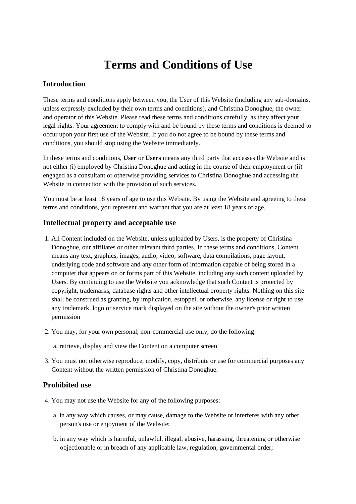# **Terms and Conditions of Use**

## **Introduction**

These terms and conditions apply between you, the User of this Website (including any sub-domains, unless expressly excluded by their own terms and conditions), and Christina Donoghue, the owner and operator of this Website. Please read these terms and conditions carefully, as they affect your legal rights. Your agreement to comply with and be bound by these terms and conditions is deemed to occur upon your first use of the Website. If you do not agree to be bound by these terms and conditions, you should stop using the Website immediately.

In these terms and conditions, **User** or **Users** means any third party that accesses the Website and is not either (i) employed by Christina Donoghue and acting in the course of their employment or (ii) engaged as a consultant or otherwise providing services to Christina Donoghue and accessing the Website in connection with the provision of such services.

You must be at least 18 years of age to use this Website. By using the Website and agreeing to these terms and conditions, you represent and warrant that you are at least 18 years of age.

#### **Intellectual property and acceptable use**

- 1. All Content included on the Website, unless uploaded by Users, is the property of Christina Donoghue, our affiliates or other relevant third parties. In these terms and conditions, Content means any text, graphics, images, audio, video, software, data compilations, page layout, underlying code and software and any other form of information capable of being stored in a computer that appears on or forms part of this Website, including any such content uploaded by Users. By continuing to use the Website you acknowledge that such Content is protected by copyright, trademarks, database rights and other intellectual property rights. Nothing on this site shall be construed as granting, by implication, estoppel, or otherwise, any license or right to use any trademark, logo or service mark displayed on the site without the owner's prior written permission
- 2. You may, for your own personal, non-commercial use only, do the following:
	- a. retrieve, display and view the Content on a computer screen
- 3. You must not otherwise reproduce, modify, copy, distribute or use for commercial purposes any Content without the written permission of Christina Donoghue.

#### **Prohibited use**

- 4. You may not use the Website for any of the following purposes:
	- a. in any way which causes, or may cause, damage to the Website or interferes with any other person's use or enjoyment of the Website;
	- b. in any way which is harmful, unlawful, illegal, abusive, harassing, threatening or otherwise objectionable or in breach of any applicable law, regulation, governmental order;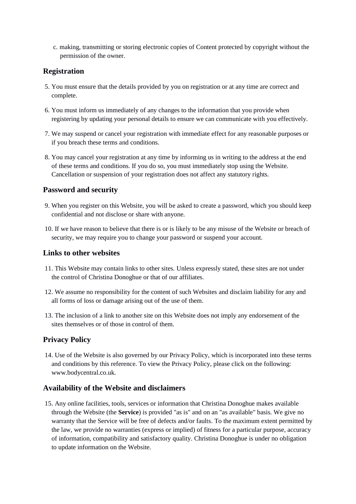c. making, transmitting or storing electronic copies of Content protected by copyright without the permission of the owner.

## **Registration**

- 5. You must ensure that the details provided by you on registration or at any time are correct and complete.
- 6. You must inform us immediately of any changes to the information that you provide when registering by updating your personal details to ensure we can communicate with you effectively.
- 7. We may suspend or cancel your registration with immediate effect for any reasonable purposes or if you breach these terms and conditions.
- 8. You may cancel your registration at any time by informing us in writing to the address at the end of these terms and conditions. If you do so, you must immediately stop using the Website. Cancellation or suspension of your registration does not affect any statutory rights.

#### **Password and security**

- 9. When you register on this Website, you will be asked to create a password, which you should keep confidential and not disclose or share with anyone.
- 10. If we have reason to believe that there is or is likely to be any misuse of the Website or breach of security, we may require you to change your password or suspend your account.

## **Links to other websites**

- 11. This Website may contain links to other sites. Unless expressly stated, these sites are not under the control of Christina Donoghue or that of our affiliates.
- 12. We assume no responsibility for the content of such Websites and disclaim liability for any and all forms of loss or damage arising out of the use of them.
- 13. The inclusion of a link to another site on this Website does not imply any endorsement of the sites themselves or of those in control of them.

## **Privacy Policy**

14. Use of the Website is also governed by our Privacy Policy, which is incorporated into these terms and conditions by this reference. To view the Privacy Policy, please click on the following: www.bodycentral.co.uk.

#### **Availability of the Website and disclaimers**

15. Any online facilities, tools, services or information that Christina Donoghue makes available through the Website (the **Service**) is provided "as is" and on an "as available" basis. We give no warranty that the Service will be free of defects and/or faults. To the maximum extent permitted by the law, we provide no warranties (express or implied) of fitness for a particular purpose, accuracy of information, compatibility and satisfactory quality. Christina Donoghue is under no obligation to update information on the Website.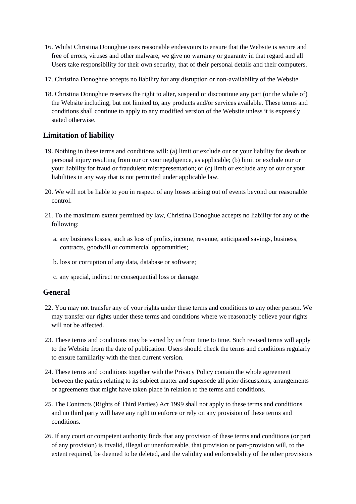- 16. Whilst Christina Donoghue uses reasonable endeavours to ensure that the Website is secure and free of errors, viruses and other malware, we give no warranty or guaranty in that regard and all Users take responsibility for their own security, that of their personal details and their computers.
- 17. Christina Donoghue accepts no liability for any disruption or non-availability of the Website.
- 18. Christina Donoghue reserves the right to alter, suspend or discontinue any part (or the whole of) the Website including, but not limited to, any products and/or services available. These terms and conditions shall continue to apply to any modified version of the Website unless it is expressly stated otherwise.

## **Limitation of liability**

- 19. Nothing in these terms and conditions will: (a) limit or exclude our or your liability for death or personal injury resulting from our or your negligence, as applicable; (b) limit or exclude our or your liability for fraud or fraudulent misrepresentation; or (c) limit or exclude any of our or your liabilities in any way that is not permitted under applicable law.
- 20. We will not be liable to you in respect of any losses arising out of events beyond our reasonable control.
- 21. To the maximum extent permitted by law, Christina Donoghue accepts no liability for any of the following:
	- a. any business losses, such as loss of profits, income, revenue, anticipated savings, business, contracts, goodwill or commercial opportunities;
	- b. loss or corruption of any data, database or software;
	- c. any special, indirect or consequential loss or damage.

## **General**

- 22. You may not transfer any of your rights under these terms and conditions to any other person. We may transfer our rights under these terms and conditions where we reasonably believe your rights will not be affected.
- 23. These terms and conditions may be varied by us from time to time. Such revised terms will apply to the Website from the date of publication. Users should check the terms and conditions regularly to ensure familiarity with the then current version.
- 24. These terms and conditions together with the Privacy Policy contain the whole agreement between the parties relating to its subject matter and supersede all prior discussions, arrangements or agreements that might have taken place in relation to the terms and conditions.
- 25. The Contracts (Rights of Third Parties) Act 1999 shall not apply to these terms and conditions and no third party will have any right to enforce or rely on any provision of these terms and conditions.
- 26. If any court or competent authority finds that any provision of these terms and conditions (or part of any provision) is invalid, illegal or unenforceable, that provision or part-provision will, to the extent required, be deemed to be deleted, and the validity and enforceability of the other provisions